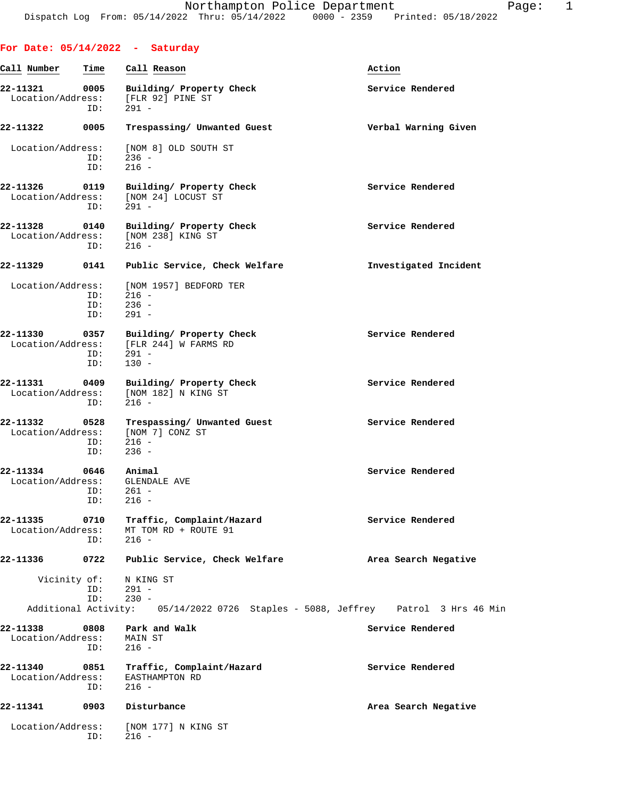|                               |                    | For Date: $05/14/2022 - Saturday$                                                             |                                                                                  |
|-------------------------------|--------------------|-----------------------------------------------------------------------------------------------|----------------------------------------------------------------------------------|
| Call Number                   | Time               | Call Reason                                                                                   | Action                                                                           |
| 22-11321<br>Location/Address: | 0005<br>ID:        | Building/ Property Check<br>[FLR 92] PINE ST<br>$291 -$                                       | Service Rendered                                                                 |
| 22-11322                      | 0005               | Trespassing/ Unwanted Guest                                                                   | Verbal Warning Given                                                             |
| Location/Address:             | ID:<br>ID:         | [NOM 8] OLD SOUTH ST<br>$236 -$<br>$216 -$                                                    |                                                                                  |
| 22-11326<br>Location/Address: | 0119<br>ID:        | Building/ Property Check<br>[NOM 24] LOCUST ST<br>$291 -$                                     | Service Rendered                                                                 |
| 22-11328                      | 0140<br>ID:        | Building/ Property Check<br>Location/Address: [NOM 238] KING ST<br>$216 -$                    | Service Rendered                                                                 |
| 22-11329                      | 0141               | Public Service, Check Welfare                                                                 | Investigated Incident                                                            |
| Location/Address:             | ID:<br>ID:<br>ID:  | [NOM 1957] BEDFORD TER<br>$216 -$<br>$236 -$<br>$291 -$                                       |                                                                                  |
| 22-11330                      | ID:<br>ID:         | 0357 Building/ Property Check<br>Location/Address: [FLR 244] W FARMS RD<br>$291 -$<br>$130 -$ | Service Rendered                                                                 |
| 22-11331<br>Location/Address: | 0409<br>ID:        | Building/ Property Check<br>[NOM 182] N KING ST<br>$216 -$                                    | Service Rendered                                                                 |
| 22-11332<br>Location/Address: | 0528<br>ID:<br>ID: | Trespassing/ Unwanted Guest<br>[NOM 7] CONZ ST<br>$216 -$<br>$236 -$                          | Service Rendered                                                                 |
| 22-11334<br>Location/Address: | 0646<br>ID:<br>ID: | Animal<br><b>GLENDALE AVE</b><br>261 -<br>$216 -$                                             | Service Rendered                                                                 |
| 22-11335<br>Location/Address: | 0710<br>ID:        | Traffic, Complaint/Hazard<br>MT TOM RD + ROUTE 91<br>$216 -$                                  | Service Rendered                                                                 |
| 22-11336                      | 0722               | Public Service, Check Welfare                                                                 | Area Search Negative                                                             |
| Vicinity of:                  | ID:<br>ID:         | N KING ST<br>$291 -$<br>$230 -$                                                               |                                                                                  |
|                               |                    |                                                                                               | Additional Activity: 05/14/2022 0726 Staples - 5088, Jeffrey Patrol 3 Hrs 46 Min |
| 22-11338<br>Location/Address: | 0808<br>ID:        | Park and Walk<br>MAIN ST<br>$216 -$                                                           | Service Rendered                                                                 |
| 22-11340<br>Location/Address: | 0851<br>ID:        | Traffic, Complaint/Hazard<br>EASTHAMPTON RD<br>$216 -$                                        | Service Rendered                                                                 |
| 22-11341                      | 0903               | Disturbance                                                                                   | Area Search Negative                                                             |
| Location/Address:             | ID:                | [NOM 177] N KING ST<br>$216 -$                                                                |                                                                                  |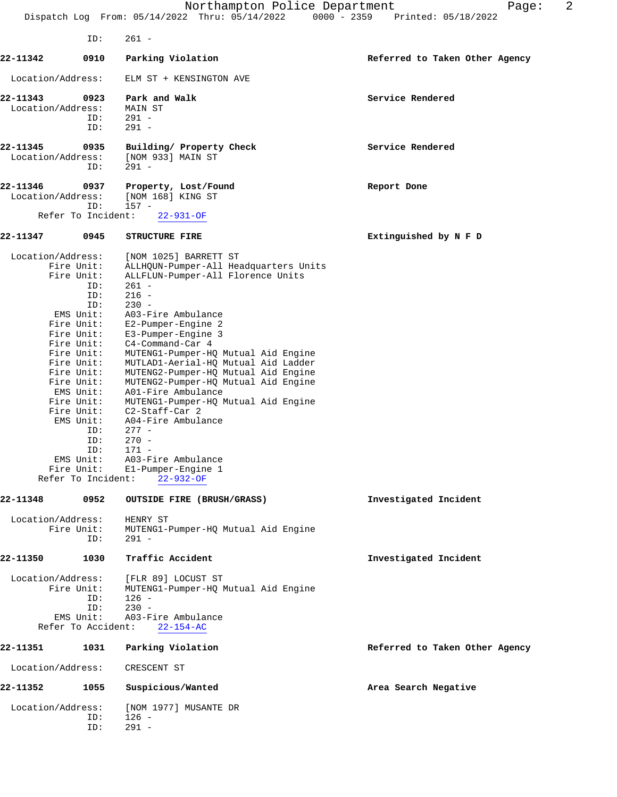|                               |                                                                                                                                                                                                                                                                                          | Northampton Police Department<br>Dispatch Log From: 05/14/2022 Thru: 05/14/2022<br>$0000 - 2359$                                                                                                                                                                                                                                                                                                                                                                                                                                                                                            | 2<br>Page:<br>Printed: 05/18/2022 |
|-------------------------------|------------------------------------------------------------------------------------------------------------------------------------------------------------------------------------------------------------------------------------------------------------------------------------------|---------------------------------------------------------------------------------------------------------------------------------------------------------------------------------------------------------------------------------------------------------------------------------------------------------------------------------------------------------------------------------------------------------------------------------------------------------------------------------------------------------------------------------------------------------------------------------------------|-----------------------------------|
|                               | ID:                                                                                                                                                                                                                                                                                      | $261 -$                                                                                                                                                                                                                                                                                                                                                                                                                                                                                                                                                                                     |                                   |
| 22-11342                      | 0910                                                                                                                                                                                                                                                                                     | Parking Violation                                                                                                                                                                                                                                                                                                                                                                                                                                                                                                                                                                           | Referred to Taken Other Agency    |
| Location/Address:             |                                                                                                                                                                                                                                                                                          | ELM ST + KENSINGTON AVE                                                                                                                                                                                                                                                                                                                                                                                                                                                                                                                                                                     |                                   |
| 22-11343<br>Location/Address: | 0923<br>ID:<br>ID:                                                                                                                                                                                                                                                                       | Park and Walk<br>MAIN ST<br>$291 -$<br>$291 -$                                                                                                                                                                                                                                                                                                                                                                                                                                                                                                                                              | Service Rendered                  |
| 22-11345<br>Location/Address: | 0935<br>ID:                                                                                                                                                                                                                                                                              | Building/ Property Check<br>[NOM 933] MAIN ST<br>$291 -$                                                                                                                                                                                                                                                                                                                                                                                                                                                                                                                                    | Service Rendered                  |
| 22-11346<br>Location/Address: | 0937<br>ID:<br>Refer To Incident:                                                                                                                                                                                                                                                        | Property, Lost/Found<br>[NOM 168] KING ST<br>$157 -$<br>$22 - 931 - OF$                                                                                                                                                                                                                                                                                                                                                                                                                                                                                                                     | Report Done                       |
| 22-11347                      | 0945                                                                                                                                                                                                                                                                                     | <b>STRUCTURE FIRE</b>                                                                                                                                                                                                                                                                                                                                                                                                                                                                                                                                                                       | Extinguished by N F D             |
| Location/Address:             | Fire Unit:<br>Fire Unit:<br>ID:<br>ID:<br>ID:<br>EMS Unit:<br>Fire Unit:<br>Fire Unit:<br>Fire Unit:<br>Fire Unit:<br>Fire Unit:<br>Fire Unit:<br>Fire Unit:<br>EMS Unit:<br>Fire Unit:<br>Fire Unit:<br>EMS Unit:<br>ID:<br>ID:<br>ID:<br>EMS Unit:<br>Fire Unit:<br>Refer To Incident: | [NOM 1025] BARRETT ST<br>ALLHQUN-Pumper-All Headquarters Units<br>ALLFLUN-Pumper-All Florence Units<br>$261 -$<br>$216 -$<br>$230 -$<br>A03-Fire Ambulance<br>E2-Pumper-Engine 2<br>E3-Pumper-Engine 3<br>C4-Command-Car 4<br>MUTENG1-Pumper-HQ Mutual Aid Engine<br>MUTLAD1-Aerial-HQ Mutual Aid Ladder<br>MUTENG2-Pumper-HQ Mutual Aid Engine<br>MUTENG2-Pumper-HQ Mutual Aid Engine<br>A01-Fire Ambulance<br>MUTENG1-Pumper-HQ Mutual Aid Engine<br>C2-Staff-Car 2<br>A04-Fire Ambulance<br>$277 -$<br>$270 -$<br>$171 -$<br>A03-Fire Ambulance<br>El-Pumper-Engine 1<br>$22 - 932 - OF$ |                                   |
| 22-11348                      | 0952                                                                                                                                                                                                                                                                                     | OUTSIDE FIRE (BRUSH/GRASS)                                                                                                                                                                                                                                                                                                                                                                                                                                                                                                                                                                  | Investigated Incident             |
| Location/Address:             | Fire Unit:<br>ID:                                                                                                                                                                                                                                                                        | HENRY ST<br>MUTENG1-Pumper-HQ Mutual Aid Engine<br>$291 -$                                                                                                                                                                                                                                                                                                                                                                                                                                                                                                                                  |                                   |
| 22-11350                      | 1030                                                                                                                                                                                                                                                                                     | Traffic Accident                                                                                                                                                                                                                                                                                                                                                                                                                                                                                                                                                                            | Investigated Incident             |
| Location/Address:             | Fire Unit:<br>ID:<br>ID:<br>$ENS$ Unit:<br>Refer To Accident:                                                                                                                                                                                                                            | [FLR 89] LOCUST ST<br>MUTENG1-Pumper-HQ Mutual Aid Engine<br>$126 -$<br>$230 -$<br>A03-Fire Ambulance<br>$22 - 154 - AC$                                                                                                                                                                                                                                                                                                                                                                                                                                                                    |                                   |
| 22-11351                      | 1031                                                                                                                                                                                                                                                                                     | Parking Violation                                                                                                                                                                                                                                                                                                                                                                                                                                                                                                                                                                           | Referred to Taken Other Agency    |
| Location/Address:             |                                                                                                                                                                                                                                                                                          | CRESCENT ST                                                                                                                                                                                                                                                                                                                                                                                                                                                                                                                                                                                 |                                   |
| 22-11352                      | 1055                                                                                                                                                                                                                                                                                     | Suspicious/Wanted                                                                                                                                                                                                                                                                                                                                                                                                                                                                                                                                                                           | Area Search Negative              |
| Location/Address:             | ID:<br>ID:                                                                                                                                                                                                                                                                               | [NOM 1977] MUSANTE DR<br>$126 -$<br>$291 -$                                                                                                                                                                                                                                                                                                                                                                                                                                                                                                                                                 |                                   |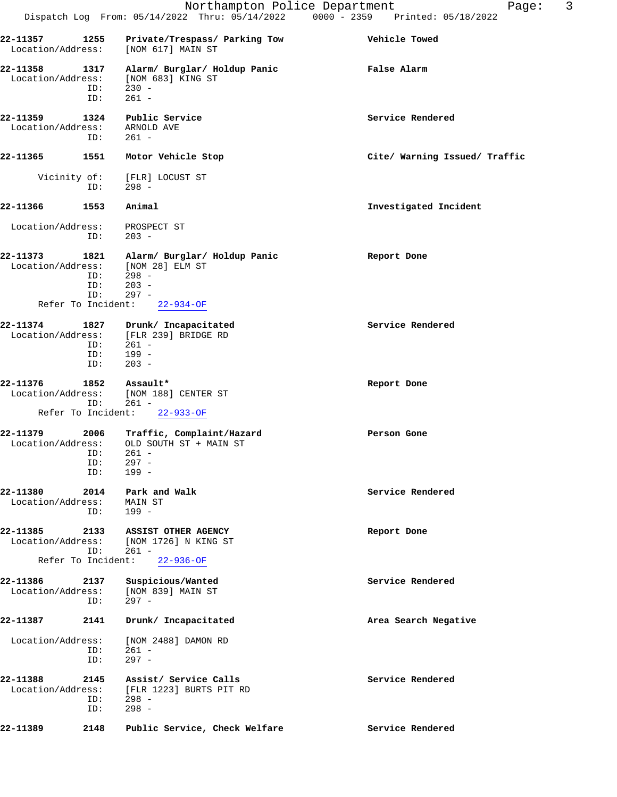| 22-11358<br>Location/Address: | 1317<br>ID:<br>ID: | Alarm/ Burglar/ Holdup Panic<br>[NOM 683] KING ST<br>$230 -$<br>261 - | <b>False Alarm</b> |  |
|-------------------------------|--------------------|-----------------------------------------------------------------------|--------------------|--|
| 22-11359<br>Location/Address: | 1324               | Public Service<br>ARNOLD AVE                                          | Service Rendered   |  |

 ID: 261 - **22-11365 1551 Motor Vehicle Stop Cite/ Warning Issued/ Traffic**

Vicinity of: [FLR] LOCUST ST<br>ID: 298 - $298 -$ 

**22-11366 1553 Animal Investigated Incident** Location/Address: PROSPECT ST ID: 203 - **22-11373 1821 Alarm/ Burglar/ Holdup Panic Report Done** Location/Address: [NOM 28] ELM ST ID: 298 - ID: 203 -

| 22-11374<br>Location/Address: | 1827<br>ID:<br>ID:<br>ID: | Drunk/ Incapacitated<br>[FLR 239] BRIDGE RD<br>$261 -$<br>$199 -$<br>$203 -$ | Service Rendered |  |
|-------------------------------|---------------------------|------------------------------------------------------------------------------|------------------|--|
| 22-11376                      | 1852                      | Assault*                                                                     | Report Done      |  |

ID: 297 -

Refer To Incident: 22-934-OF

 Location/Address: [NOM 188] CENTER ST ID: 261 - Refer To Incident: 22-933-OF

| 22-11379          | 2006 | Traffic, Complaint/Hazard | Person Gone |  |
|-------------------|------|---------------------------|-------------|--|
| Location/Address: |      | OLD SOUTH ST + MAIN ST    |             |  |
|                   | ID:  | $261 -$                   |             |  |
|                   | ID:  | 297 -                     |             |  |
|                   | ID:  | 199 -                     |             |  |
|                   |      |                           |             |  |

22-11380 2014 Park and Walk **Service Rendered**  Location/Address: MAIN ST ID: 199 -

## **22-11385 2133 ASSIST OTHER AGENCY Report Done** Location/Address: [NOM 1726] N KING ST ID: 261 - Refer To Incident: 22-936-OF

**22-11386 2137 Suspicious/Wanted Service Rendered** Location/Address: [NOM 839] MAIN ST ID: 297 - **22-11387 2141 Drunk/ Incapacitated Area Search Negative**

## Location/Address: [NOM 2488] DAMON RD ID: 261 - ID: 297 -

**22-11388 2145 Assist/ Service Calls Service Rendered** Location/Address: [FLR 1223] BURTS PIT RD ID: 298 - ID: 298 - **22-11389 2148 Public Service, Check Welfare Service Rendered**